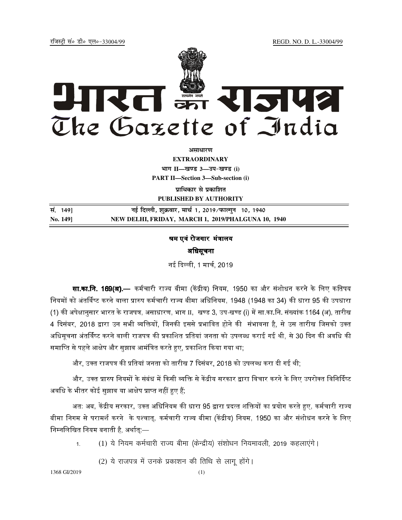jftLVªh laö Mhö ,yö&33004@99 REGD. NO. D. L.-33004/99



**vlk/kj.k**

**EXTRAORDINARY Hkkx II—[k.M 3—mi&[k.M (i) PART II—Section 3—Sub-section (i)** 

**प्राधिकार से प्रकाशित PUBLISHED BY AUTHORITY**

**la- 149] ubZ fnYyh] 'kqØokj] ekp Z 1] 2019@iQkYxqu 10] 1940 No. 149] NEW DELHI, FRIDAY, MARCH 1, 2019/PHALGUNA 10, 1940**

## श्रम एवं रोजगार मंत्रालय अिधसूचना

नई दिल्ली. 1 मार्च. 2019

**सा.का.नि. 169(अ).**— कर्मचारी राज्य बीमा (केंद्रीय) नियम. 1950 का और संशोधन करने के लिए कतिपय नियमों को अंतर्विष्ट करने वाला प्रारुप कर्मचारी राज्य बीमा अधिनियम. 1948 (1948 का 34) की धारा 95 की उपधारा (1) की अपेक्षानुसार भारत के राजपत्र, असाधारण, भाग II, खण्ड 3, उप-खण्ड (i) में सा.का.नि. संख्यांक 1164 (अ), तारीख 4 दिसंबर, 2018 द्वारा उन सभी व्यक्तियों, जिनकी इससे प्रभावित होने की संभावना है, से उस तारीख जिसको उक्त अधिसचना अंतर्विष्ट करने वाली राजपत्र की प्रकाशित प्रतियां जनता को उपलब्ध कराई गई थी. से 30 दिन की अवधि की समाप्ति से पहले आक्षेप और सझाव आमंत्रित करते हुए. प्रकाशित किया गया था:-

और, उक्त राजपत्र की प्रतियां जनता को तारीख 7 दिसंबर, 2018 को उपलब्ध करा दी गई थी;

और, उक्त प्रारुप नियमों के संबंध में किसी व्यक्ति से केंद्रीय सरकार द्वारा विचार करने के लिए उपरोक्त विनिर्दिष्ट अवधि के भीतर कोई सझाव या आक्षेप प्राप्त नहीं हए हैं:

अत: अब. केंद्रीय सरकार. उक्त अधिनियम की धारा 95 द्वारा प्रदत्त शक्तियों का प्रयोग करते हुए. कर्मचारी राज्य बीमा निगम से परामर्श करने के पश्चात, कर्मचारी राज्य बीमा (केंद्रीय) नियम, 1950 का और संशोधन करने के लिए निम्नलिखित नियम बनाती है. अर्थात:—

1. (1) ये नियम कर्मचारी राज्य बीमा (केन्द्रीय) संशोधन नियमावली, 2019 कहलाएंगे।

(2) ये राजपत्र में उनके प्रकाशन की तिथि से लागू होंगे।

1368 GI/2019 (1)